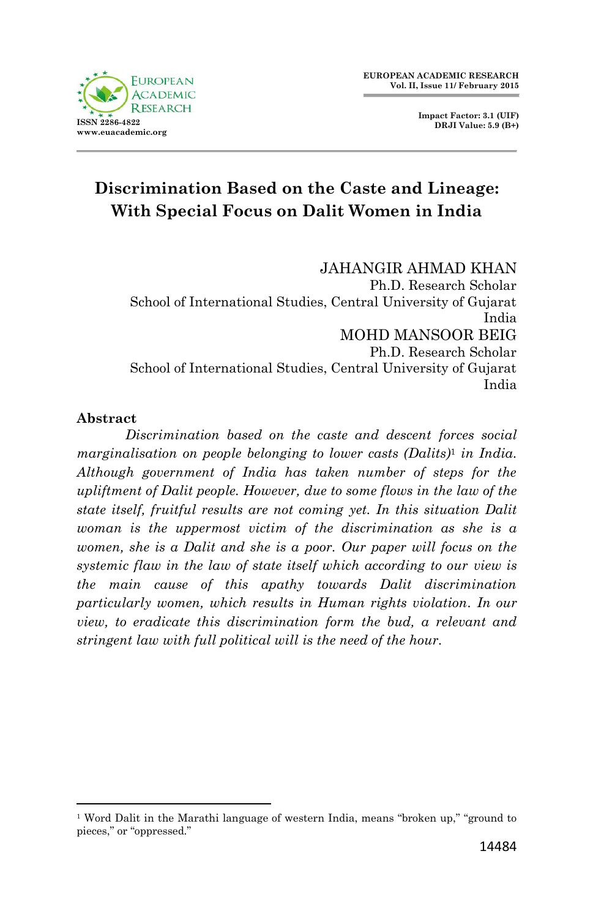**Impact Factor: 3.1 (UIF) DRJI Value: 5.9 (B+)**

# **Discrimination Based on the Caste and Lineage: With Special Focus on Dalit Women in India**

JAHANGIR AHMAD KHAN Ph.D. Research Scholar School of International Studies, Central University of Gujarat India MOHD MANSOOR BEIG Ph.D. Research Scholar School of International Studies, Central University of Gujarat India

### **Abstract**

1

*Discrimination based on the caste and descent forces social marginalisation on people belonging to lower casts (Dalits)*<sup>1</sup> *in India. Although government of India has taken number of steps for the upliftment of Dalit people. However, due to some flows in the law of the state itself, fruitful results are not coming yet. In this situation Dalit woman is the uppermost victim of the discrimination as she is a women, she is a Dalit and she is a poor. Our paper will focus on the systemic flaw in the law of state itself which according to our view is the main cause of this apathy towards Dalit discrimination particularly women, which results in Human rights violation. In our view, to eradicate this discrimination form the bud, a relevant and stringent law with full political will is the need of the hour.*

<sup>&</sup>lt;sup>1</sup> Word Dalit in the Marathi language of western India, means "broken up," "ground to pieces," or "oppressed."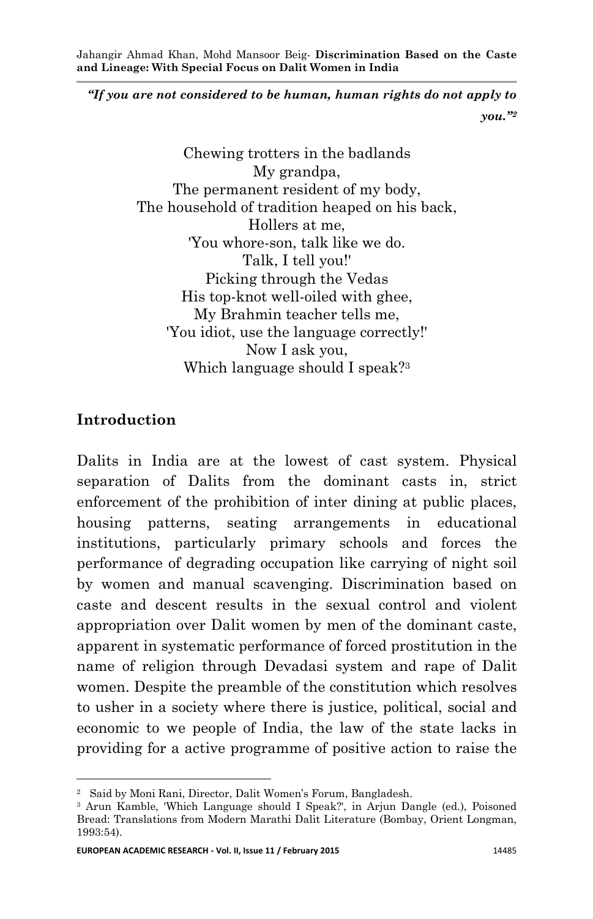*"If you are not considered to be human, human rights do not apply to you."<sup>2</sup>*

> Chewing trotters in the badlands My grandpa, The permanent resident of my body. The household of tradition heaped on his back, Hollers at me, 'You whore-son, talk like we do. Talk, I tell you!' Picking through the Vedas His top-knot well-oiled with ghee, My Brahmin teacher tells me, 'You idiot, use the language correctly!' Now I ask you, Which language should I speak?<sup>3</sup>

### **Introduction**

**.** 

Dalits in India are at the lowest of cast system. Physical separation of Dalits from the dominant casts in, strict enforcement of the prohibition of inter dining at public places, housing patterns, seating arrangements in educational institutions, particularly primary schools and forces the performance of degrading occupation like carrying of night soil by women and manual scavenging. Discrimination based on caste and descent results in the sexual control and violent appropriation over Dalit women by men of the dominant caste, apparent in systematic performance of forced prostitution in the name of religion through Devadasi system and rape of Dalit women. Despite the preamble of the constitution which resolves to usher in a society where there is justice, political, social and economic to we people of India, the law of the state lacks in providing for a active programme of positive action to raise the

<sup>2</sup> Said by Moni Rani, Director, Dalit Women's Forum, Bangladesh.

<sup>3</sup> Arun Kamble, 'Which Language should I Speak?', in Arjun Dangle (ed.), Poisoned Bread: Translations from Modern Marathi Dalit Literature (Bombay, Orient Longman, 1993:54).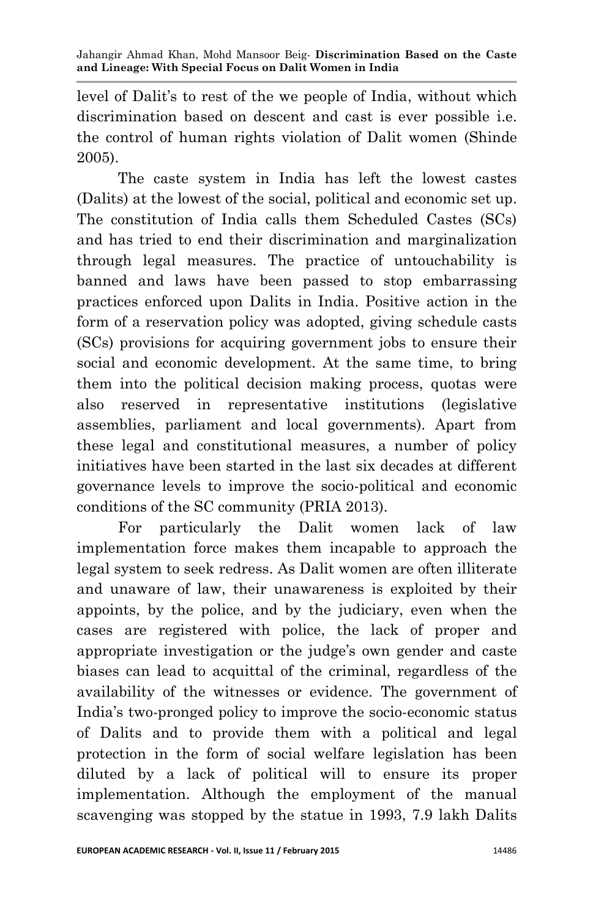level of Dalit's to rest of the we people of India, without which discrimination based on descent and cast is ever possible i.e. the control of human rights violation of Dalit women (Shinde 2005).

 The caste system in India has left the lowest castes (Dalits) at the lowest of the social, political and economic set up. The constitution of India calls them Scheduled Castes (SCs) and has tried to end their discrimination and marginalization through legal measures. The practice of untouchability is banned and laws have been passed to stop embarrassing practices enforced upon Dalits in India. Positive action in the form of a reservation policy was adopted, giving schedule casts (SCs) provisions for acquiring government jobs to ensure their social and economic development. At the same time, to bring them into the political decision making process, quotas were also reserved in representative institutions (legislative assemblies, parliament and local governments). Apart from these legal and constitutional measures, a number of policy initiatives have been started in the last six decades at different governance levels to improve the socio-political and economic conditions of the SC community (PRIA 2013).

 For particularly the Dalit women lack of law implementation force makes them incapable to approach the legal system to seek redress. As Dalit women are often illiterate and unaware of law, their unawareness is exploited by their appoints, by the police, and by the judiciary, even when the cases are registered with police, the lack of proper and appropriate investigation or the judge's own gender and caste biases can lead to acquittal of the criminal, regardless of the availability of the witnesses or evidence. The government of India's two-pronged policy to improve the socio-economic status of Dalits and to provide them with a political and legal protection in the form of social welfare legislation has been diluted by a lack of political will to ensure its proper implementation. Although the employment of the manual scavenging was stopped by the statue in 1993, 7.9 lakh Dalits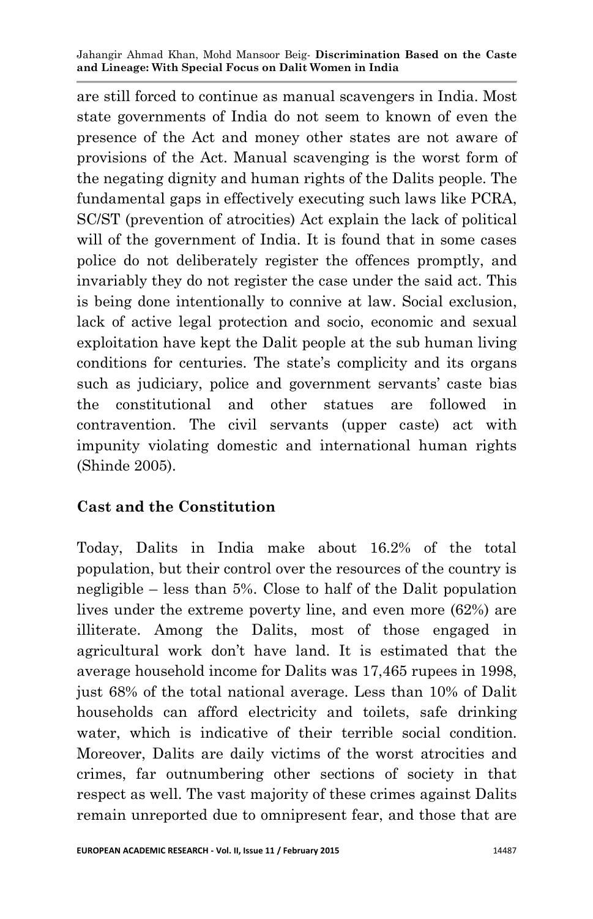are still forced to continue as manual scavengers in India. Most state governments of India do not seem to known of even the presence of the Act and money other states are not aware of provisions of the Act. Manual scavenging is the worst form of the negating dignity and human rights of the Dalits people. The fundamental gaps in effectively executing such laws like PCRA, SC/ST (prevention of atrocities) Act explain the lack of political will of the government of India. It is found that in some cases police do not deliberately register the offences promptly, and invariably they do not register the case under the said act. This is being done intentionally to connive at law. Social exclusion, lack of active legal protection and socio, economic and sexual exploitation have kept the Dalit people at the sub human living conditions for centuries. The state's complicity and its organs such as judiciary, police and government servants' caste bias the constitutional and other statues are followed in contravention. The civil servants (upper caste) act with impunity violating domestic and international human rights (Shinde 2005).

### **Cast and the Constitution**

Today, Dalits in India make about 16.2% of the total population, but their control over the resources of the country is negligible – less than 5%. Close to half of the Dalit population lives under the extreme poverty line, and even more (62%) are illiterate. Among the Dalits, most of those engaged in agricultural work don't have land. It is estimated that the average household income for Dalits was 17,465 rupees in 1998, just 68% of the total national average. Less than 10% of Dalit households can afford electricity and toilets, safe drinking water, which is indicative of their terrible social condition. Moreover, Dalits are daily victims of the worst atrocities and crimes, far outnumbering other sections of society in that respect as well. The vast majority of these crimes against Dalits remain unreported due to omnipresent fear, and those that are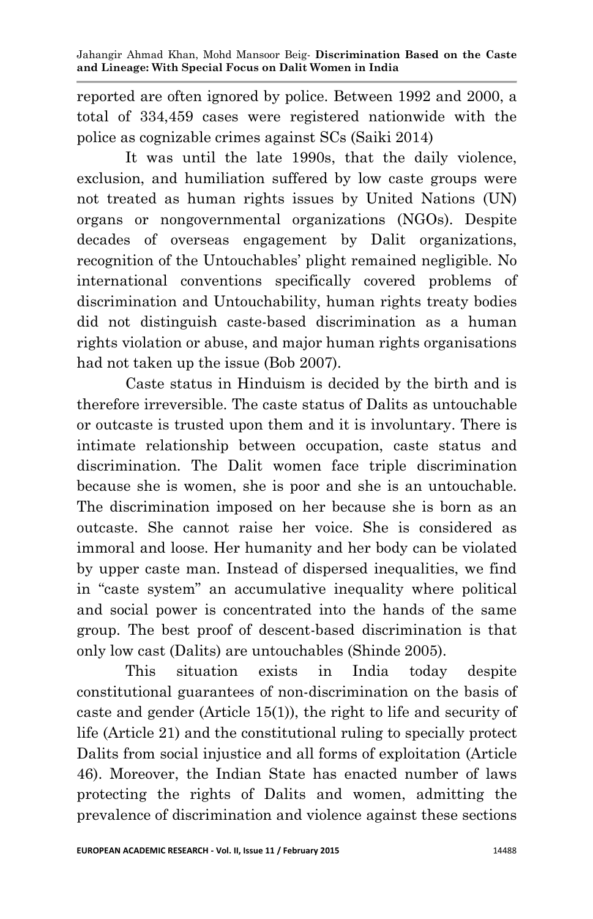reported are often ignored by police. Between 1992 and 2000, a total of 334,459 cases were registered nationwide with the police as cognizable crimes against SCs (Saiki 2014)

 It was until the late 1990s, that the daily violence, exclusion, and humiliation suffered by low caste groups were not treated as human rights issues by United Nations (UN) organs or nongovernmental organizations (NGOs). Despite decades of overseas engagement by Dalit organizations, recognition of the Untouchables' plight remained negligible. No international conventions specifically covered problems of discrimination and Untouchability, human rights treaty bodies did not distinguish caste-based discrimination as a human rights violation or abuse, and major human rights organisations had not taken up the issue (Bob 2007).

 Caste status in Hinduism is decided by the birth and is therefore irreversible. The caste status of Dalits as untouchable or outcaste is trusted upon them and it is involuntary. There is intimate relationship between occupation, caste status and discrimination. The Dalit women face triple discrimination because she is women, she is poor and she is an untouchable. The discrimination imposed on her because she is born as an outcaste. She cannot raise her voice. She is considered as immoral and loose. Her humanity and her body can be violated by upper caste man. Instead of dispersed inequalities, we find in "caste system" an accumulative inequality where political and social power is concentrated into the hands of the same group. The best proof of descent-based discrimination is that only low cast (Dalits) are untouchables (Shinde 2005).

 This situation exists in India today despite constitutional guarantees of non-discrimination on the basis of caste and gender (Article 15(1)), the right to life and security of life (Article 21) and the constitutional ruling to specially protect Dalits from social injustice and all forms of exploitation (Article 46). Moreover, the Indian State has enacted number of laws protecting the rights of Dalits and women, admitting the prevalence of discrimination and violence against these sections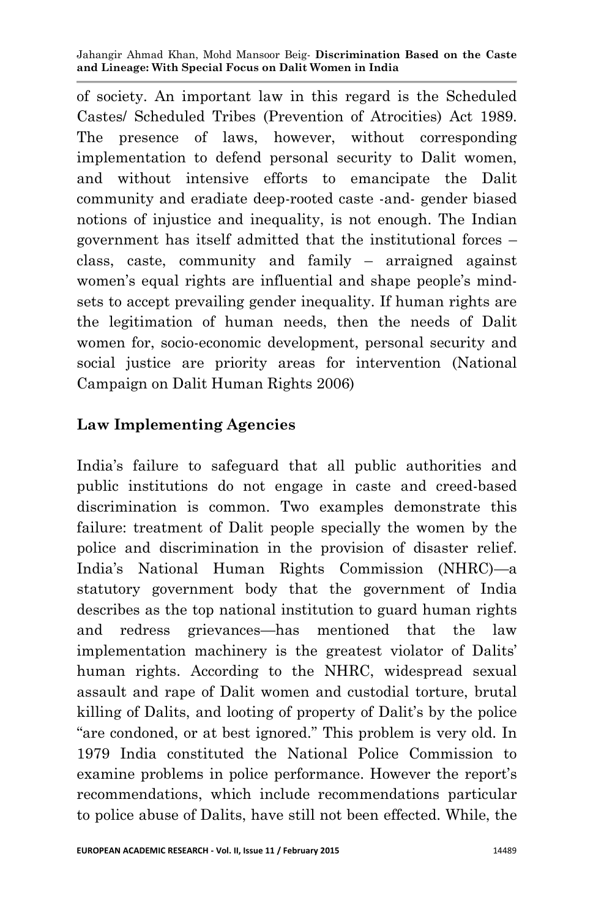of society. An important law in this regard is the Scheduled Castes/ Scheduled Tribes (Prevention of Atrocities) Act 1989. The presence of laws, however, without corresponding implementation to defend personal security to Dalit women, and without intensive efforts to emancipate the Dalit community and eradiate deep-rooted caste -and- gender biased notions of injustice and inequality, is not enough. The Indian government has itself admitted that the institutional forces – class, caste, community and family – arraigned against women's equal rights are influential and shape people's mindsets to accept prevailing gender inequality. If human rights are the legitimation of human needs, then the needs of Dalit women for, socio-economic development, personal security and social justice are priority areas for intervention (National Campaign on Dalit Human Rights 2006)

### **Law Implementing Agencies**

India's failure to safeguard that all public authorities and public institutions do not engage in caste and creed-based discrimination is common. Two examples demonstrate this failure: treatment of Dalit people specially the women by the police and discrimination in the provision of disaster relief. India's National Human Rights Commission (NHRC)—a statutory government body that the government of India describes as the top national institution to guard human rights and redress grievances—has mentioned that the law implementation machinery is the greatest violator of Dalits' human rights. According to the NHRC, widespread sexual assault and rape of Dalit women and custodial torture, brutal killing of Dalits, and looting of property of Dalit's by the police "are condoned, or at best ignored." This problem is very old. In 1979 India constituted the National Police Commission to examine problems in police performance. However the report's recommendations, which include recommendations particular to police abuse of Dalits, have still not been effected. While, the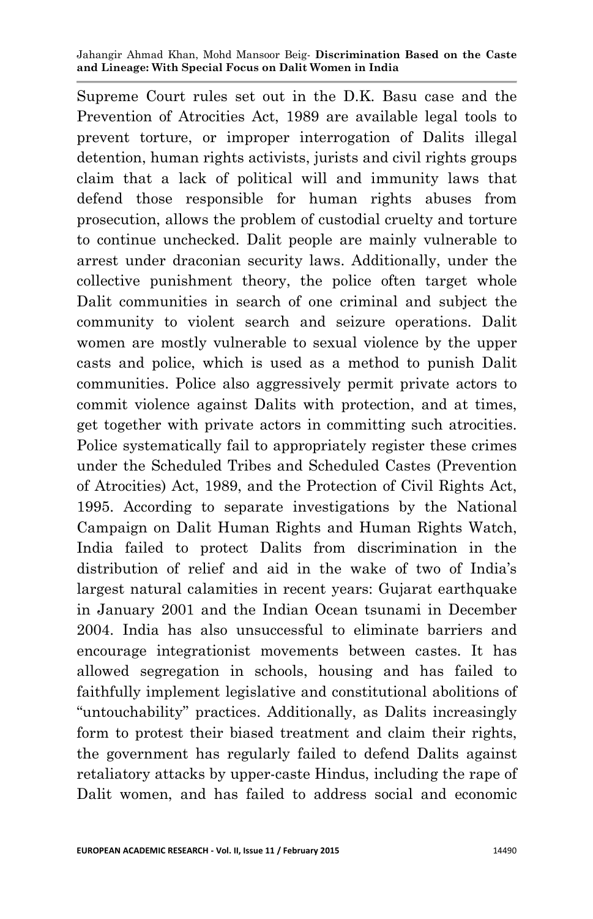Supreme Court rules set out in the D.K. Basu case and the Prevention of Atrocities Act, 1989 are available legal tools to prevent torture, or improper interrogation of Dalits illegal detention, human rights activists, jurists and civil rights groups claim that a lack of political will and immunity laws that defend those responsible for human rights abuses from prosecution, allows the problem of custodial cruelty and torture to continue unchecked. Dalit people are mainly vulnerable to arrest under draconian security laws. Additionally, under the collective punishment theory, the police often target whole Dalit communities in search of one criminal and subject the community to violent search and seizure operations. Dalit women are mostly vulnerable to sexual violence by the upper casts and police, which is used as a method to punish Dalit communities. Police also aggressively permit private actors to commit violence against Dalits with protection, and at times, get together with private actors in committing such atrocities. Police systematically fail to appropriately register these crimes under the Scheduled Tribes and Scheduled Castes (Prevention of Atrocities) Act, 1989, and the Protection of Civil Rights Act, 1995. According to separate investigations by the National Campaign on Dalit Human Rights and Human Rights Watch, India failed to protect Dalits from discrimination in the distribution of relief and aid in the wake of two of India's largest natural calamities in recent years: Gujarat earthquake in January 2001 and the Indian Ocean tsunami in December 2004. India has also unsuccessful to eliminate barriers and encourage integrationist movements between castes. It has allowed segregation in schools, housing and has failed to faithfully implement legislative and constitutional abolitions of "untouchability" practices. Additionally, as Dalits increasingly form to protest their biased treatment and claim their rights, the government has regularly failed to defend Dalits against retaliatory attacks by upper-caste Hindus, including the rape of Dalit women, and has failed to address social and economic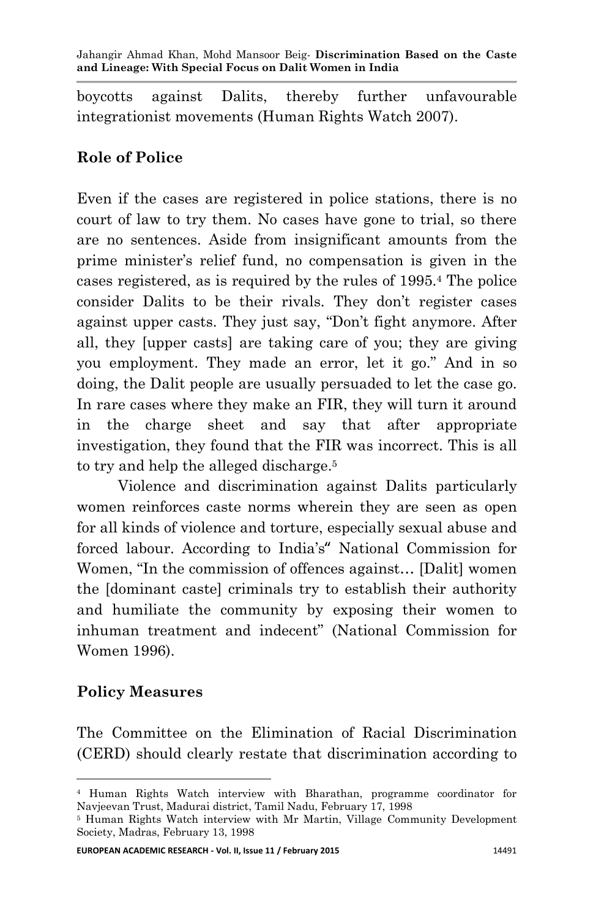boycotts against Dalits, thereby further unfavourable integrationist movements (Human Rights Watch 2007).

## **Role of Police**

Even if the cases are registered in police stations, there is no court of law to try them. No cases have gone to trial, so there are no sentences. Aside from insignificant amounts from the prime minister's relief fund, no compensation is given in the cases registered, as is required by the rules of 1995.<sup>4</sup> The police consider Dalits to be their rivals. They don't register cases against upper casts. They just say, "Don't fight anymore. After all, they [upper casts] are taking care of you; they are giving you employment. They made an error, let it go." And in so doing, the Dalit people are usually persuaded to let the case go. In rare cases where they make an FIR, they will turn it around in the charge sheet and say that after appropriate investigation, they found that the FIR was incorrect. This is all to try and help the alleged discharge. 5

 Violence and discrimination against Dalits particularly women reinforces caste norms wherein they are seen as open for all kinds of violence and torture, especially sexual abuse and forced labour. According to India's" National Commission for Women, "In the commission of offences against... [Dalit] women the [dominant caste] criminals try to establish their authority and humiliate the community by exposing their women to inhuman treatment and indecent" (National Commission for Women 1996).

#### **Policy Measures**

**.** 

The Committee on the Elimination of Racial Discrimination (CERD) should clearly restate that discrimination according to

<sup>4</sup> Human Rights Watch interview with Bharathan, programme coordinator for Navjeevan Trust, Madurai district, Tamil Nadu, February 17, 1998

<sup>5</sup> Human Rights Watch interview with Mr Martin, Village Community Development Society, Madras, February 13, 1998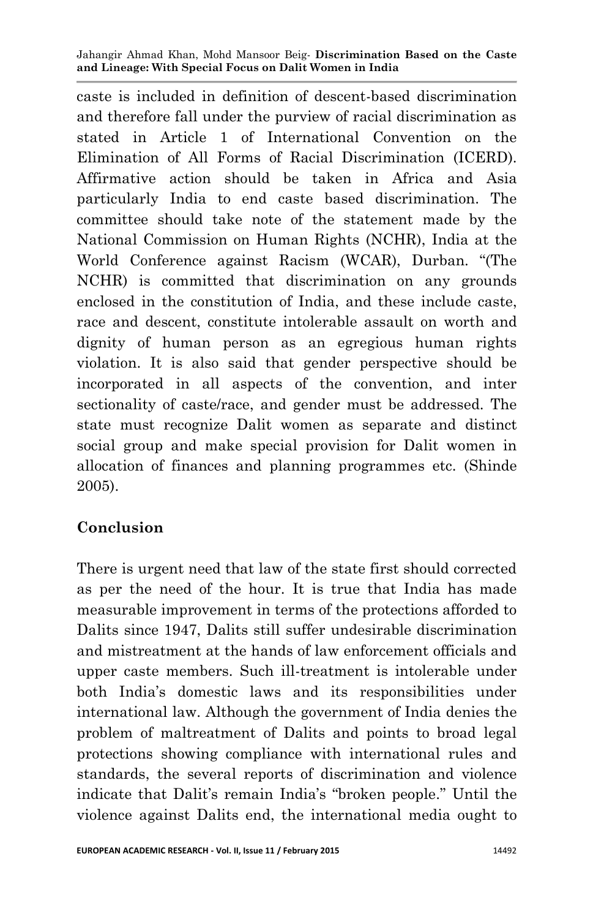caste is included in definition of descent-based discrimination and therefore fall under the purview of racial discrimination as stated in Article 1 of International Convention on the Elimination of All Forms of Racial Discrimination (ICERD). Affirmative action should be taken in Africa and Asia particularly India to end caste based discrimination. The committee should take note of the statement made by the National Commission on Human Rights (NCHR), India at the World Conference against Racism (WCAR), Durban. "(The NCHR) is committed that discrimination on any grounds enclosed in the constitution of India, and these include caste, race and descent, constitute intolerable assault on worth and dignity of human person as an egregious human rights violation. It is also said that gender perspective should be incorporated in all aspects of the convention, and inter sectionality of caste/race, and gender must be addressed. The state must recognize Dalit women as separate and distinct social group and make special provision for Dalit women in allocation of finances and planning programmes etc. (Shinde 2005).

### **Conclusion**

There is urgent need that law of the state first should corrected as per the need of the hour. It is true that India has made measurable improvement in terms of the protections afforded to Dalits since 1947, Dalits still suffer undesirable discrimination and mistreatment at the hands of law enforcement officials and upper caste members. Such ill-treatment is intolerable under both India's domestic laws and its responsibilities under international law. Although the government of India denies the problem of maltreatment of Dalits and points to broad legal protections showing compliance with international rules and standards, the several reports of discrimination and violence indicate that Dalit's remain India's "broken people." Until the violence against Dalits end, the international media ought to